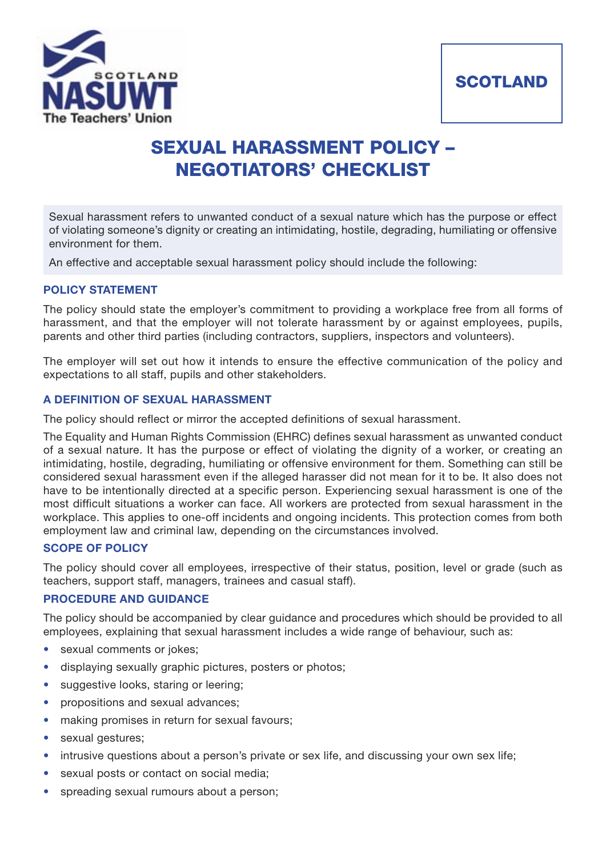



# **SEXUAL HARASSMENT POLICY – NEGOTIATORS' CHECKLIST**

Sexual harassment refers to unwanted conduct of a sexual nature which has the purpose or effect of violating someone's dignity or creating an intimidating, hostile, degrading, humiliating or offensive environment for them.

An effective and acceptable sexual harassment policy should include the following:

## **POLICY STATEMENT**

The policy should state the employer's commitment to providing a workplace free from all forms of harassment, and that the employer will not tolerate harassment by or against employees, pupils, parents and other third parties (including contractors, suppliers, inspectors and volunteers).

The employer will set out how it intends to ensure the effective communication of the policy and expectations to all staff, pupils and other stakeholders.

# **A DEFINITION OF SEXUAL HARASSMENT**

The policy should reflect or mirror the accepted definitions of sexual harassment.

The Equality and Human Rights Commission (EHRC) defines sexual harassment as unwanted conduct of a sexual nature. It has the purpose or effect of violating the dignity of a worker, or creating an intimidating, hostile, degrading, humiliating or offensive environment for them. Something can still be considered sexual harassment even if the alleged harasser did not mean for it to be. It also does not have to be intentionally directed at a specific person. Experiencing sexual harassment is one of the most difficult situations a worker can face. All workers are protected from sexual harassment in the workplace. This applies to one-off incidents and ongoing incidents. This protection comes from both employment law and criminal law, depending on the circumstances involved.

#### **SCOPE OF POLICY**

The policy should cover all employees, irrespective of their status, position, level or grade (such as teachers, support staff, managers, trainees and casual staff).

# **PROCEDURE AND GUIDANCE**

The policy should be accompanied by clear guidance and procedures which should be provided to all employees, explaining that sexual harassment includes a wide range of behaviour, such as:

- sexual comments or jokes;
- displaying sexually graphic pictures, posters or photos;
- suggestive looks, staring or leering;
- propositions and sexual advances;
- making promises in return for sexual favours;
- sexual gestures;
- intrusive questions about a person's private or sex life, and discussing your own sex life;
- sexual posts or contact on social media;
- spreading sexual rumours about a person;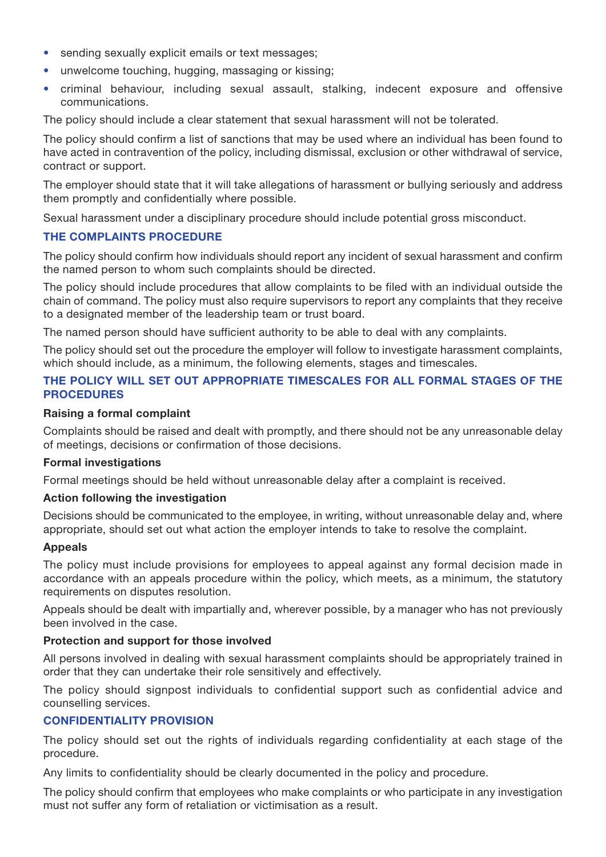- sending sexually explicit emails or text messages;
- unwelcome touching, hugging, massaging or kissing;
- criminal behaviour, including sexual assault, stalking, indecent exposure and offensive communications.

The policy should include a clear statement that sexual harassment will not be tolerated.

The policy should confirm a list of sanctions that may be used where an individual has been found to have acted in contravention of the policy, including dismissal, exclusion or other withdrawal of service, contract or support.

The employer should state that it will take allegations of harassment or bullying seriously and address them promptly and confidentially where possible.

Sexual harassment under a disciplinary procedure should include potential gross misconduct.

## **THE COMPLAINTS PROCEDURE**

The policy should confirm how individuals should report any incident of sexual harassment and confirm the named person to whom such complaints should be directed.

The policy should include procedures that allow complaints to be filed with an individual outside the chain of command. The policy must also require supervisors to report any complaints that they receive to a designated member of the leadership team or trust board.

The named person should have sufficient authority to be able to deal with any complaints.

The policy should set out the procedure the employer will follow to investigate harassment complaints, which should include, as a minimum, the following elements, stages and timescales.

# **THE POLICY WILL SET OUT APPROPRIATE TIMESCALES FOR ALL FORMAL STAGES OF THE PROCEDURES**

## **Raising a formal complaint**

Complaints should be raised and dealt with promptly, and there should not be any unreasonable delay of meetings, decisions or confirmation of those decisions.

### **Formal investigations**

Formal meetings should be held without unreasonable delay after a complaint is received.

#### **Action following the investigation**

Decisions should be communicated to the employee, in writing, without unreasonable delay and, where appropriate, should set out what action the employer intends to take to resolve the complaint.

#### **Appeals**

The policy must include provisions for employees to appeal against any formal decision made in accordance with an appeals procedure within the policy, which meets, as a minimum, the statutory requirements on disputes resolution.

Appeals should be dealt with impartially and, wherever possible, by a manager who has not previously been involved in the case.

## **Protection and support for those involved**

All persons involved in dealing with sexual harassment complaints should be appropriately trained in order that they can undertake their role sensitively and effectively.

The policy should signpost individuals to confidential support such as confidential advice and counselling services.

# **CONFIDENTIALITY PROVISION**

The policy should set out the rights of individuals regarding confidentiality at each stage of the procedure.

Any limits to confidentiality should be clearly documented in the policy and procedure.

The policy should confirm that employees who make complaints or who participate in any investigation must not suffer any form of retaliation or victimisation as a result.